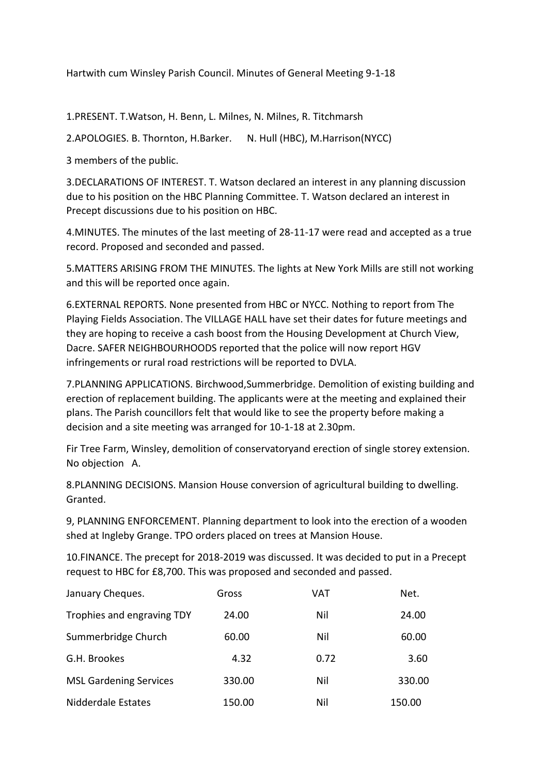Hartwith cum Winsley Parish Council. Minutes of General Meeting 9-1-18

1.PRESENT. T.Watson, H. Benn, L. Milnes, N. Milnes, R. Titchmarsh

2.APOLOGIES. B. Thornton, H.Barker. N. Hull (HBC), M.Harrison(NYCC)

3 members of the public.

3.DECLARATIONS OF INTEREST. T. Watson declared an interest in any planning discussion due to his position on the HBC Planning Committee. T. Watson declared an interest in Precept discussions due to his position on HBC.

4.MINUTES. The minutes of the last meeting of 28-11-17 were read and accepted as a true record. Proposed and seconded and passed.

5.MATTERS ARISING FROM THE MINUTES. The lights at New York Mills are still not working and this will be reported once again.

6.EXTERNAL REPORTS. None presented from HBC or NYCC. Nothing to report from The Playing Fields Association. The VILLAGE HALL have set their dates for future meetings and they are hoping to receive a cash boost from the Housing Development at Church View, Dacre. SAFER NEIGHBOURHOODS reported that the police will now report HGV infringements or rural road restrictions will be reported to DVLA.

7.PLANNING APPLICATIONS. Birchwood,Summerbridge. Demolition of existing building and erection of replacement building. The applicants were at the meeting and explained their plans. The Parish councillors felt that would like to see the property before making a decision and a site meeting was arranged for 10-1-18 at 2.30pm.

Fir Tree Farm, Winsley, demolition of conservatoryand erection of single storey extension. No objection A.

8.PLANNING DECISIONS. Mansion House conversion of agricultural building to dwelling. Granted.

9, PLANNING ENFORCEMENT. Planning department to look into the erection of a wooden shed at Ingleby Grange. TPO orders placed on trees at Mansion House.

10.FINANCE. The precept for 2018-2019 was discussed. It was decided to put in a Precept request to HBC for £8,700. This was proposed and seconded and passed.

| January Cheques.              | Gross  | VAT  | Net.   |
|-------------------------------|--------|------|--------|
| Trophies and engraving TDY    | 24.00  | Nil  | 24.00  |
| Summerbridge Church           | 60.00  | Nil  | 60.00  |
| G.H. Brookes                  | 4.32   | 0.72 | 3.60   |
| <b>MSL Gardening Services</b> | 330.00 | Nil  | 330.00 |
| Nidderdale Estates            | 150.00 | Nil  | 150.00 |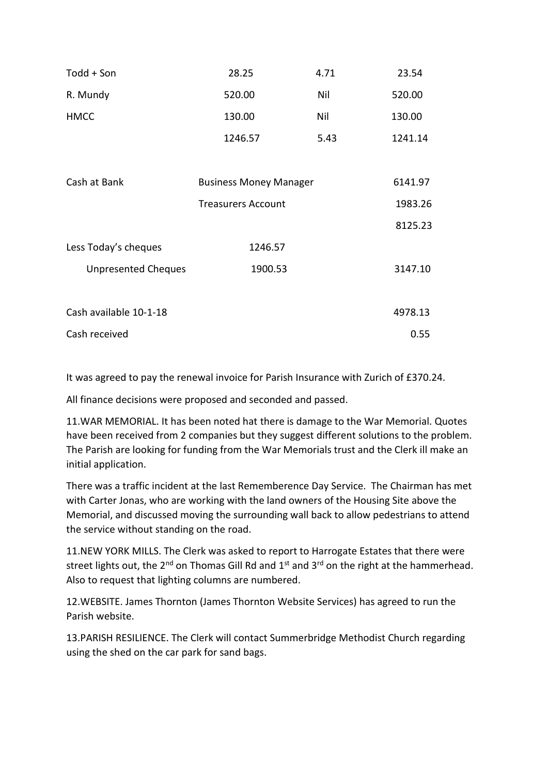| Todd + Son                 | 28.25                         | 4.71    | 23.54   |
|----------------------------|-------------------------------|---------|---------|
| R. Mundy                   | 520.00                        | Nil     | 520.00  |
| <b>HMCC</b>                | 130.00                        | Nil     | 130.00  |
|                            | 1246.57                       | 5.43    | 1241.14 |
|                            |                               |         |         |
| Cash at Bank               | <b>Business Money Manager</b> | 6141.97 |         |
|                            | <b>Treasurers Account</b>     |         | 1983.26 |
|                            |                               |         | 8125.23 |
| Less Today's cheques       | 1246.57                       |         |         |
| <b>Unpresented Cheques</b> | 1900.53                       |         | 3147.10 |
|                            |                               |         |         |
| Cash available 10-1-18     |                               |         | 4978.13 |
| Cash received              |                               |         | 0.55    |

It was agreed to pay the renewal invoice for Parish Insurance with Zurich of £370.24.

All finance decisions were proposed and seconded and passed.

11.WAR MEMORIAL. It has been noted hat there is damage to the War Memorial. Quotes have been received from 2 companies but they suggest different solutions to the problem. The Parish are looking for funding from the War Memorials trust and the Clerk ill make an initial application.

There was a traffic incident at the last Rememberence Day Service. The Chairman has met with Carter Jonas, who are working with the land owners of the Housing Site above the Memorial, and discussed moving the surrounding wall back to allow pedestrians to attend the service without standing on the road.

11.NEW YORK MILLS. The Clerk was asked to report to Harrogate Estates that there were street lights out, the  $2^{nd}$  on Thomas Gill Rd and  $1^{st}$  and  $3^{rd}$  on the right at the hammerhead. Also to request that lighting columns are numbered.

12.WEBSITE. James Thornton (James Thornton Website Services) has agreed to run the Parish website.

13.PARISH RESILIENCE. The Clerk will contact Summerbridge Methodist Church regarding using the shed on the car park for sand bags.